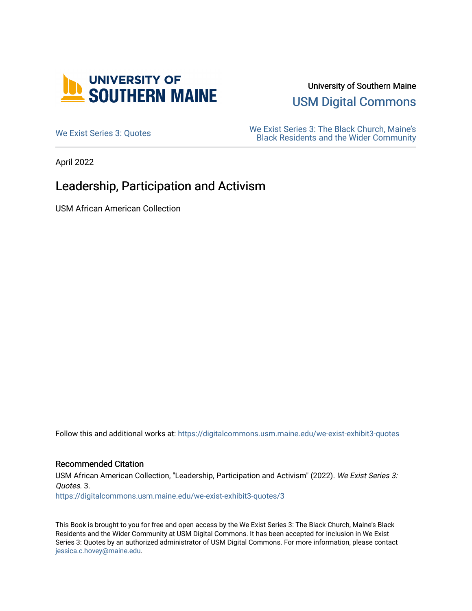

University of Southern Maine

[USM Digital Commons](https://digitalcommons.usm.maine.edu/) 

[We Exist Series 3: Quotes](https://digitalcommons.usm.maine.edu/we-exist-exhibit3-quotes) We Exist Series 3: The Black Church, Maine's<br>Midax Community [Black Residents and the Wider Community](https://digitalcommons.usm.maine.edu/we-exist-exhibit3) 

April 2022

### Leadership, Participation and Activism

USM African American Collection

Follow this and additional works at: [https://digitalcommons.usm.maine.edu/we-exist-exhibit3-quotes](https://digitalcommons.usm.maine.edu/we-exist-exhibit3-quotes?utm_source=digitalcommons.usm.maine.edu%2Fwe-exist-exhibit3-quotes%2F3&utm_medium=PDF&utm_campaign=PDFCoverPages) 

#### Recommended Citation

USM African American Collection, "Leadership, Participation and Activism" (2022). We Exist Series 3: Quotes. 3. [https://digitalcommons.usm.maine.edu/we-exist-exhibit3-quotes/3](https://digitalcommons.usm.maine.edu/we-exist-exhibit3-quotes/3?utm_source=digitalcommons.usm.maine.edu%2Fwe-exist-exhibit3-quotes%2F3&utm_medium=PDF&utm_campaign=PDFCoverPages)

This Book is brought to you for free and open access by the We Exist Series 3: The Black Church, Maine's Black Residents and the Wider Community at USM Digital Commons. It has been accepted for inclusion in We Exist Series 3: Quotes by an authorized administrator of USM Digital Commons. For more information, please contact [jessica.c.hovey@maine.edu.](mailto:ian.fowler@maine.edu)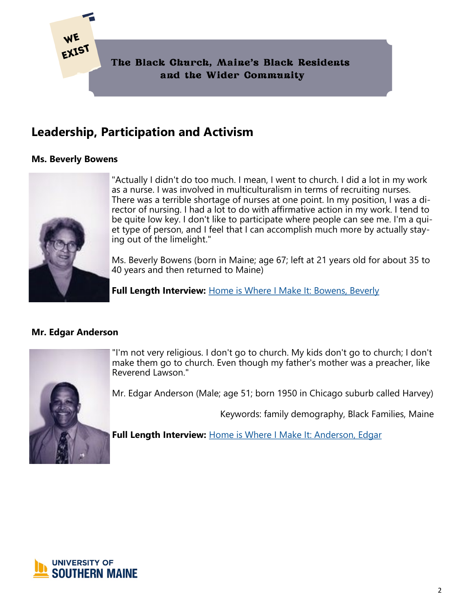

#### **Ms. Beverly Bowens**



"Actually I didn't do too much. I mean, I went to church. I did a lot in my work as a nurse. I was involved in multiculturalism in terms of recruiting nurses. There was a terrible shortage of nurses at one point. In my position, I was a director of nursing. I had a lot to do with affirmative action in my work. I tend to be quite low key. I don't like to participate where people can see me. I'm a quiet type of person, and I feel that I can accomplish much more by actually staying out of the limelight."

Ms. Beverly Bowens (born in Maine; age 67; left at 21 years old for about 35 to 40 years and then returned to Maine)

**Full Length Interview:** [Home is Where I Make It: Bowens, Beverly](https://digitalcommons.usm.maine.edu/aa_hiwimi/2/)

#### **Mr. Edgar Anderson**



"I'm not very religious. I don't go to church. My kids don't go to church; I don't make them go to church. Even though my father's mother was a preacher, like Reverend Lawson."

Mr. Edgar Anderson (Male; age 51; born 1950 in Chicago suburb called Harvey)

Keywords: family demography, Black Families, Maine

**Full Length Interview:** [Home is Where I Make It: Anderson, Edgar](https://digitalcommons.usm.maine.edu/aa_hiwimi/1/)

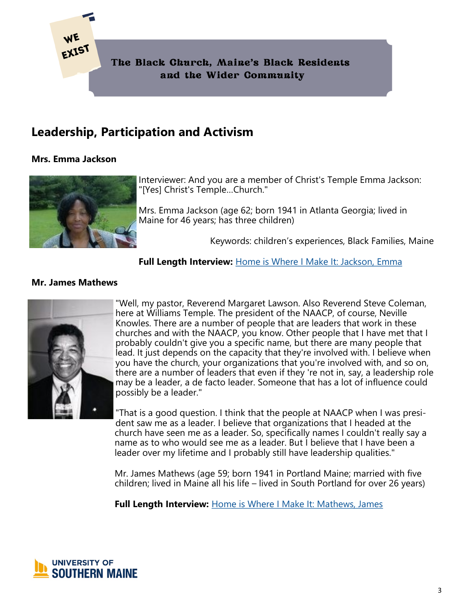

#### **Mrs. Emma Jackson**



Interviewer: And you are a member of Christ's Temple Emma Jackson: "[Yes] Christ's Temple…Church."

Mrs. Emma Jackson (age 62; born 1941 in Atlanta Georgia; lived in Maine for 46 years; has three children)

Keywords: children's experiences, Black Families, Maine

#### **Full Length Interview:** [Home is Where I Make It: Jackson, Emma](https://digitalcommons.usm.maine.edu/aa_hiwimi/9/)

#### **Mr. James Mathews**



"Well, my pastor, Reverend Margaret Lawson. Also Reverend Steve Coleman, here at Williams Temple. The president of the NAACP, of course, Neville Knowles. There are a number of people that are leaders that work in these churches and with the NAACP, you know. Other people that I have met that I probably couldn't give you a specific name, but there are many people that lead. It just depends on the capacity that they're involved with. I believe when you have the church, your organizations that you're involved with, and so on, there are a number of leaders that even if they 're not in, say, a leadership role may be a leader, a de facto leader. Someone that has a lot of influence could possibly be a leader."

"That is a good question. I think that the people at NAACP when I was president saw me as a leader. I believe that organizations that I headed at the church have seen me as a leader. So, specifically names I couldn't really say a name as to who would see me as a leader. But I believe that I have been a leader over my lifetime and I probably still have leadership qualities."

Mr. James Mathews (age 59; born 1941 in Portland Maine; married with five children; lived in Maine all his life – lived in South Portland for over 26 years)

**Full Length Interview:** [Home is Where I Make It: Mathews, James](https://digitalcommons.usm.maine.edu/aa_hiwimi/4/)

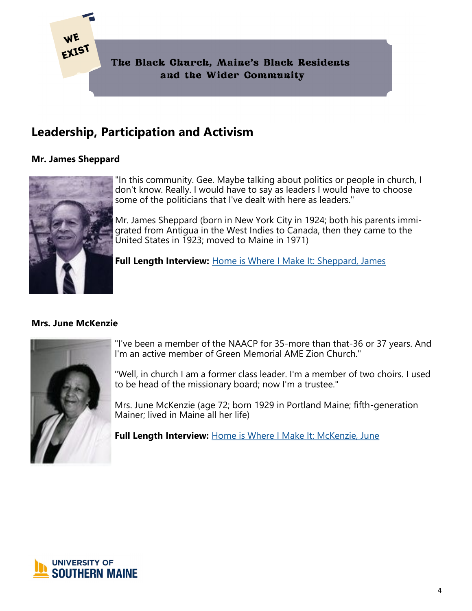

### **Mr. James Sheppard**



"In this community. Gee. Maybe talking about politics or people in church, I don't know. Really. I would have to say as leaders I would have to choose some of the politicians that I've dealt with here as leaders."

Mr. James Sheppard (born in New York City in 1924; both his parents immigrated from Antigua in the West Indies to Canada, then they came to the United States in 1923; moved to Maine in 1971)

**Full Length Interview:** [Home is Where I Make It: Sheppard, James](https://digitalcommons.usm.maine.edu/aa_hiwimi/14/)

#### **Mrs. June McKenzie**



"I've been a member of the NAACP for 35-more than that-36 or 37 years. And I'm an active member of Green Memorial AME Zion Church."

"Well, in church I am a former class leader. I'm a member of two choirs. I used to be head of the missionary board; now I'm a trustee."

Mrs. June McKenzie (age 72; born 1929 in Portland Maine; fifth-generation Mainer; lived in Maine all her life)

**Full Length Interview:** [Home is Where I Make It: McKenzie, June](https://digitalcommons.usm.maine.edu/aa_hiwimi/3/)